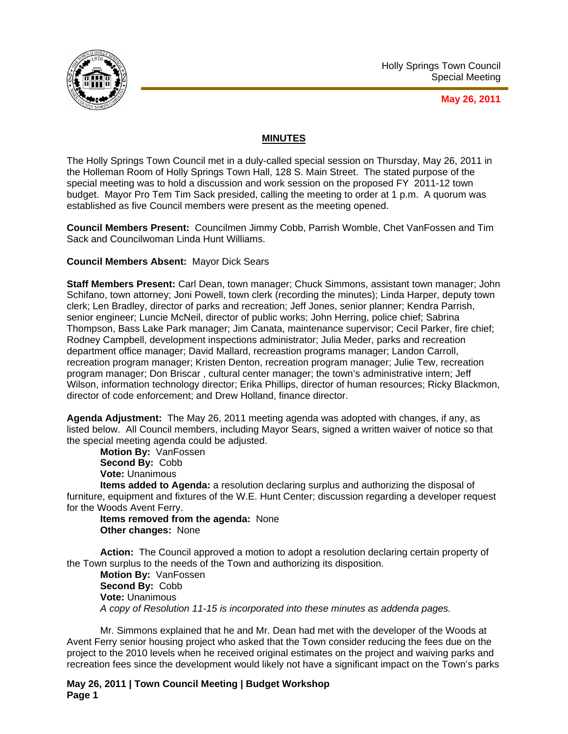

**May 26, 2011**

# **MINUTES**

The Holly Springs Town Council met in a duly-called special session on Thursday, May 26, 2011 in the Holleman Room of Holly Springs Town Hall, 128 S. Main Street. The stated purpose of the special meeting was to hold a discussion and work session on the proposed FY 2011-12 town budget. Mayor Pro Tem Tim Sack presided, calling the meeting to order at 1 p.m. A quorum was established as five Council members were present as the meeting opened.

**Council Members Present:** Councilmen Jimmy Cobb, Parrish Womble, Chet VanFossen and Tim Sack and Councilwoman Linda Hunt Williams.

## **Council Members Absent:** Mayor Dick Sears

**Staff Members Present:** Carl Dean, town manager; Chuck Simmons, assistant town manager; John Schifano, town attorney; Joni Powell, town clerk (recording the minutes); Linda Harper, deputy town clerk; Len Bradley, director of parks and recreation; Jeff Jones, senior planner; Kendra Parrish, senior engineer; Luncie McNeil, director of public works; John Herring, police chief; Sabrina Thompson, Bass Lake Park manager; Jim Canata, maintenance supervisor; Cecil Parker, fire chief; Rodney Campbell, development inspections administrator; Julia Meder, parks and recreation department office manager; David Mallard, recreastion programs manager; Landon Carroll, recreation program manager; Kristen Denton, recreation program manager; Julie Tew, recreation program manager; Don Briscar , cultural center manager; the town's administrative intern; Jeff Wilson, information technology director; Erika Phillips, director of human resources; Ricky Blackmon, director of code enforcement; and Drew Holland, finance director.

**Agenda Adjustment:** The May 26, 2011 meeting agenda was adopted with changes, if any, as listed below. All Council members, including Mayor Sears, signed a written waiver of notice so that the special meeting agenda could be adjusted.

**Motion By:** VanFossen **Second By:** Cobb **Vote:** Unanimous

**Items added to Agenda:** a resolution declaring surplus and authorizing the disposal of furniture, equipment and fixtures of the W.E. Hunt Center; discussion regarding a developer request for the Woods Avent Ferry.

**Items removed from the agenda:** None **Other changes:** None

 **Action:** The Council approved a motion to adopt a resolution declaring certain property of the Town surplus to the needs of the Town and authorizing its disposition.

**Motion By:** VanFossen **Second By:** Cobb **Vote:** Unanimous *A copy of Resolution 11-15 is incorporated into these minutes as addenda pages.* 

Mr. Simmons explained that he and Mr. Dean had met with the developer of the Woods at Avent Ferry senior housing project who asked that the Town consider reducing the fees due on the project to the 2010 levels when he received original estimates on the project and waiving parks and recreation fees since the development would likely not have a significant impact on the Town's parks

**May 26, 2011 | Town Council Meeting | Budget Workshop Page 1**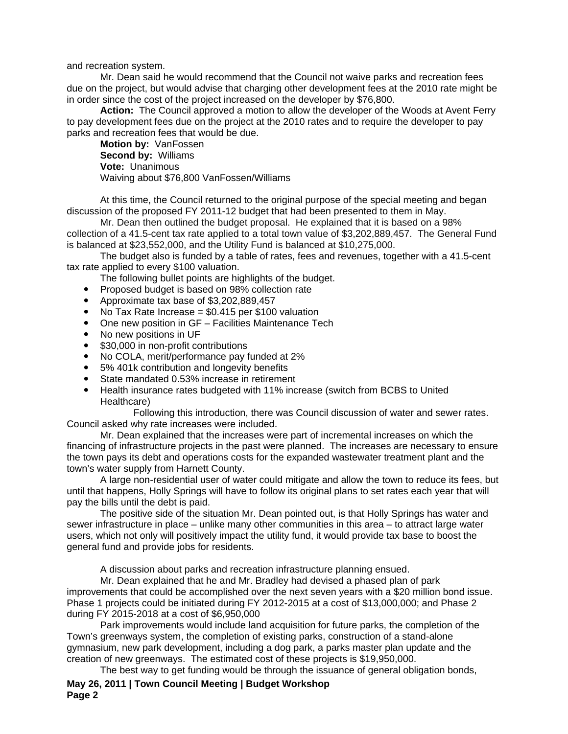and recreation system.

Mr. Dean said he would recommend that the Council not waive parks and recreation fees due on the project, but would advise that charging other development fees at the 2010 rate might be in order since the cost of the project increased on the developer by \$76,800.

**Action:** The Council approved a motion to allow the developer of the Woods at Avent Ferry to pay development fees due on the project at the 2010 rates and to require the developer to pay parks and recreation fees that would be due.

**Motion by:** VanFossen **Second by:** Williams **Vote:** Unanimous Waiving about \$76,800 VanFossen/Williams

 At this time, the Council returned to the original purpose of the special meeting and began discussion of the proposed FY 2011-12 budget that had been presented to them in May.

Mr. Dean then outlined the budget proposal. He explained that it is based on a 98% collection of a 41.5-cent tax rate applied to a total town value of \$3,202,889,457. The General Fund is balanced at \$23,552,000, and the Utility Fund is balanced at \$10,275,000.

 The budget also is funded by a table of rates, fees and revenues, together with a 41.5-cent tax rate applied to every \$100 valuation.

The following bullet points are highlights of the budget.

- Proposed budget is based on 98% collection rate
- Approximate tax base of \$3,202,889,457
- No Tax Rate Increase =  $$0.415$  per \$100 valuation
- One new position in GF Facilities Maintenance Tech
- No new positions in UF
- \$30,000 in non-profit contributions
- No COLA, merit/performance pay funded at 2%
- 5% 401k contribution and longevity benefits
- State mandated 0.53% increase in retirement
- Health insurance rates budgeted with 11% increase (switch from BCBS to United Healthcare)

 Following this introduction, there was Council discussion of water and sewer rates. Council asked why rate increases were included.

 Mr. Dean explained that the increases were part of incremental increases on which the financing of infrastructure projects in the past were planned. The increases are necessary to ensure the town pays its debt and operations costs for the expanded wastewater treatment plant and the town's water supply from Harnett County.

 A large non-residential user of water could mitigate and allow the town to reduce its fees, but until that happens, Holly Springs will have to follow its original plans to set rates each year that will pay the bills until the debt is paid.

 The positive side of the situation Mr. Dean pointed out, is that Holly Springs has water and sewer infrastructure in place – unlike many other communities in this area – to attract large water users, which not only will positively impact the utility fund, it would provide tax base to boost the general fund and provide jobs for residents.

A discussion about parks and recreation infrastructure planning ensued.

 Mr. Dean explained that he and Mr. Bradley had devised a phased plan of park improvements that could be accomplished over the next seven years with a \$20 million bond issue. Phase 1 projects could be initiated during FY 2012-2015 at a cost of \$13,000,000; and Phase 2 during FY 2015-2018 at a cost of \$6,950,000

 Park improvements would include land acquisition for future parks, the completion of the Town's greenways system, the completion of existing parks, construction of a stand-alone gymnasium, new park development, including a dog park, a parks master plan update and the creation of new greenways. The estimated cost of these projects is \$19,950,000.

The best way to get funding would be through the issuance of general obligation bonds,

**May 26, 2011 | Town Council Meeting | Budget Workshop Page 2**